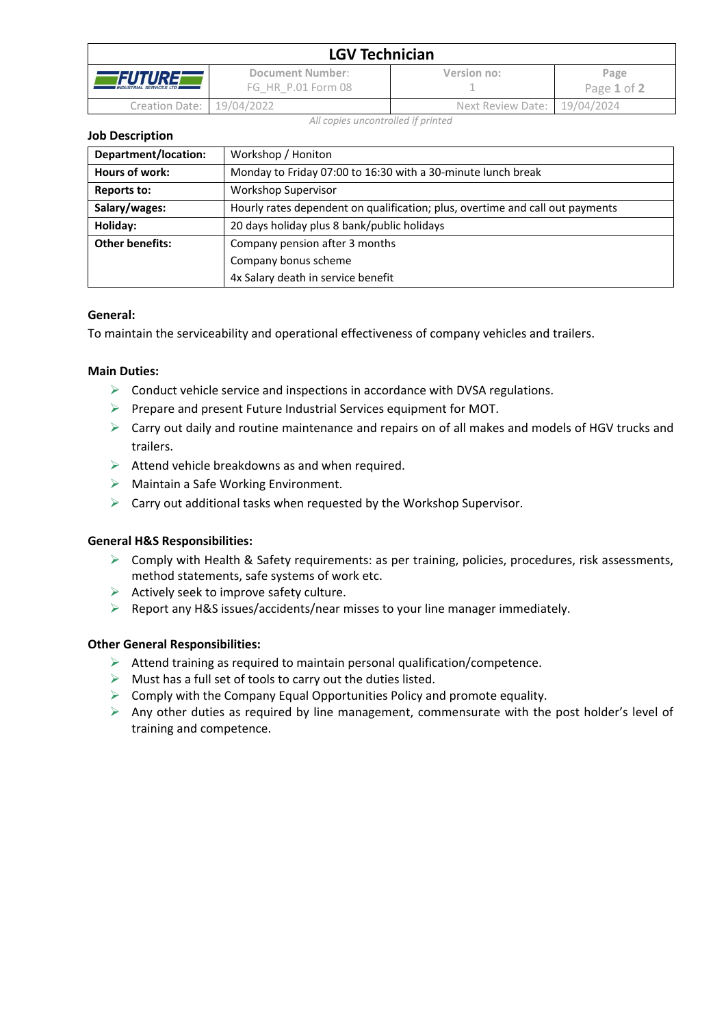| <b>LGV Technician</b>                            |                                        |                              |                     |  |  |
|--------------------------------------------------|----------------------------------------|------------------------------|---------------------|--|--|
| <i>FUTURE</i><br><b>INDUSTRIAL SERVICES LTD.</b> | Document Number:<br>FG HR P.01 Form 08 | Version no:                  | Page<br>Page 1 of 2 |  |  |
| Creation Date: 19/04/2022                        |                                        | Next Review Date: 19/04/2024 |                     |  |  |

*All copies uncontrolled if printed*

**Job Description**

| Department/location:   | Workshop / Honiton                                                            |  |
|------------------------|-------------------------------------------------------------------------------|--|
| Hours of work:         | Monday to Friday 07:00 to 16:30 with a 30-minute lunch break                  |  |
| Reports to:            | <b>Workshop Supervisor</b>                                                    |  |
| Salary/wages:          | Hourly rates dependent on qualification; plus, overtime and call out payments |  |
| Holiday:               | 20 days holiday plus 8 bank/public holidays                                   |  |
| <b>Other benefits:</b> | Company pension after 3 months                                                |  |
|                        | Company bonus scheme                                                          |  |
|                        | 4x Salary death in service benefit                                            |  |

#### **General:**

To maintain the serviceability and operational effectiveness of company vehicles and trailers.

#### **Main Duties:**

- $\triangleright$  Conduct vehicle service and inspections in accordance with DVSA regulations.
- ➢ Prepare and present Future Industrial Services equipment for MOT.
- $\triangleright$  Carry out daily and routine maintenance and repairs on of all makes and models of HGV trucks and trailers.
- $\triangleright$  Attend vehicle breakdowns as and when required.
- ➢ Maintain a Safe Working Environment.
- $\triangleright$  Carry out additional tasks when requested by the Workshop Supervisor.

## **General H&S Responsibilities:**

- $\triangleright$  Comply with Health & Safety requirements: as per training, policies, procedures, risk assessments, method statements, safe systems of work etc.
- $\triangleright$  Actively seek to improve safety culture.
- ➢ Report any H&S issues/accidents/near misses to your line manager immediately.

## **Other General Responsibilities:**

- $\triangleright$  Attend training as required to maintain personal qualification/competence.
- $\triangleright$  Must has a full set of tools to carry out the duties listed.
- $\triangleright$  Comply with the Company Equal Opportunities Policy and promote equality.
- ➢ Any other duties as required by line management, commensurate with the post holder's level of training and competence.